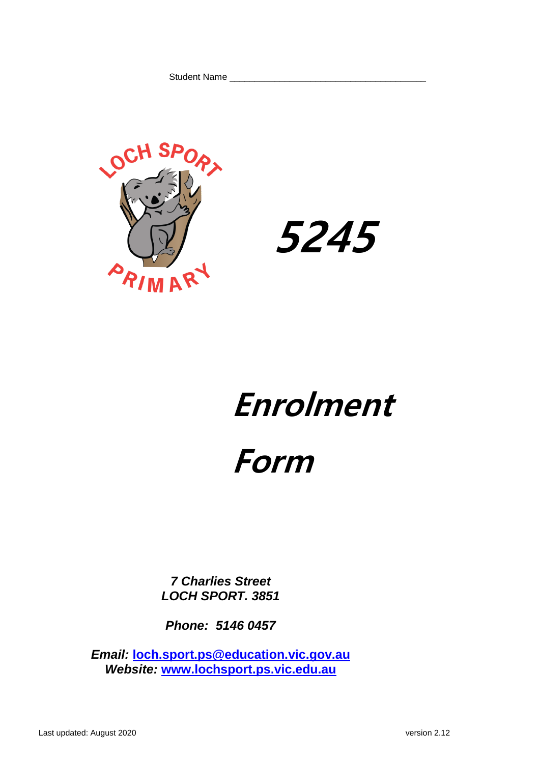Student Name \_\_\_\_\_\_\_\_\_\_\_\_\_\_\_\_\_\_\_\_\_\_\_\_\_\_\_\_\_\_\_\_\_\_\_\_\_\_\_





# **Enrolment**

# **Form**

*7 Charlies Street LOCH SPORT. 3851*

*Phone: 5146 0457*

*Email:* **[loch.sport.ps@education.vic.gov.au](mailto:loch.sport.ps@education.vic.gov.au)** *Website:* **[www.lochsport.ps.vic.edu.au](http://www.lochsport.ps.vic.edu.au/)**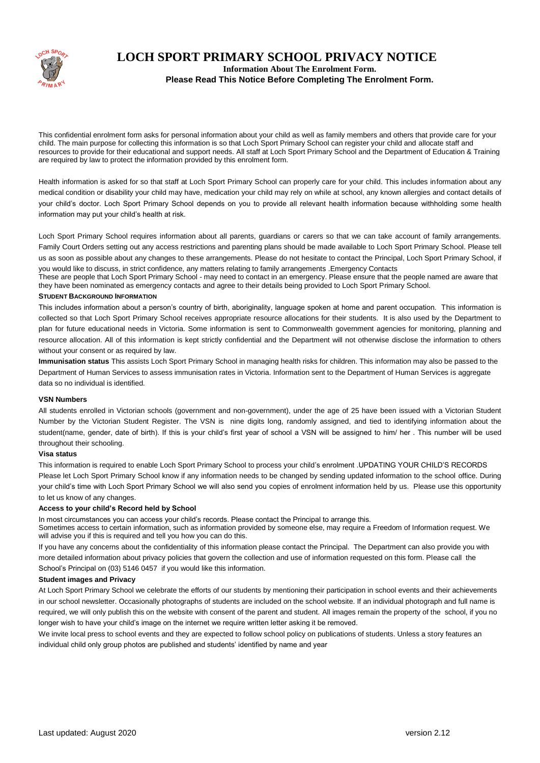

## **LOCH SPORT PRIMARY SCHOOL PRIVACY NOTICE**

**Information About The Enrolment Form.**

**Please Read This Notice Before Completing The Enrolment Form.**

This confidential enrolment form asks for personal information about your child as well as family members and others that provide care for your child. The main purpose for collecting this information is so that Loch Sport Primary School can register your child and allocate staff and resources to provide for their educational and support needs. All staff at Loch Sport Primary School and the Department of Education & Training are required by law to protect the information provided by this enrolment form.

Health information is asked for so that staff at Loch Sport Primary School can properly care for your child. This includes information about any medical condition or disability your child may have, medication your child may rely on while at school, any known allergies and contact details of your child's doctor. Loch Sport Primary School depends on you to provide all relevant health information because withholding some health information may put your child's health at risk.

Loch Sport Primary School requires information about all parents, guardians or carers so that we can take account of family arrangements. Family Court Orders setting out any access restrictions and parenting plans should be made available to Loch Sport Primary School. Please tell us as soon as possible about any changes to these arrangements. Please do not hesitate to contact the Principal, Loch Sport Primary School, if you would like to discuss, in strict confidence, any matters relating to family arrangements .Emergency Contacts

These are people that Loch Sport Primary School - may need to contact in an emergency. Please ensure that the people named are aware that they have been nominated as emergency contacts and agree to their details being provided to Loch Sport Primary School.

#### **STUDENT BACKGROUND INFORMATION**

This includes information about a person's country of birth, aboriginality, language spoken at home and parent occupation. This information is collected so that Loch Sport Primary School receives appropriate resource allocations for their students. It is also used by the Department to plan for future educational needs in Victoria. Some information is sent to Commonwealth government agencies for monitoring, planning and resource allocation. All of this information is kept strictly confidential and the Department will not otherwise disclose the information to others without your consent or as required by law.

**Immunisation status** This assists Loch Sport Primary School in managing health risks for children. This information may also be passed to the Department of Human Services to assess immunisation rates in Victoria. Information sent to the Department of Human Services is aggregate data so no individual is identified.

#### **VSN Numbers**

All students enrolled in Victorian schools (government and non-government), under the age of 25 have been issued with a Victorian Student Number by the Victorian Student Register. The VSN is nine digits long, randomly assigned, and tied to identifying information about the student(name, gender, date of birth). If this is your child's first year of school a VSN will be assigned to him/ her . This number will be used throughout their schooling.

#### **Visa status**

This information is required to enable Loch Sport Primary School to process your child's enrolment .UPDATING YOUR CHILD'S RECORDS Please let Loch Sport Primary School know if any information needs to be changed by sending updated information to the school office. During your child's time with Loch Sport Primary School we will also send you copies of enrolment information held by us. Please use this opportunity to let us know of any changes.

#### **Access to your child's Record held by School**

In most circumstances you can access your child's records. Please contact the Principal to arrange this.

Sometimes access to certain information, such as information provided by someone else, may require a Freedom of Information request. We will advise you if this is required and tell you how you can do this.

If you have any concerns about the confidentiality of this information please contact the Principal. The Department can also provide you with more detailed information about privacy policies that govern the collection and use of information requested on this form. Please call the School's Principal on (03) 5146 0457 if you would like this information.

#### **Student images and Privacy**

At Loch Sport Primary School we celebrate the efforts of our students by mentioning their participation in school events and their achievements in our school newsletter. Occasionally photographs of students are included on the school website. If an individual photograph and full name is required, we will only publish this on the website with consent of the parent and student. All images remain the property of the school, if you no longer wish to have your child's image on the internet we require written letter asking it be removed.

We invite local press to school events and they are expected to follow school policy on publications of students. Unless a story features an individual child only group photos are published and students' identified by name and year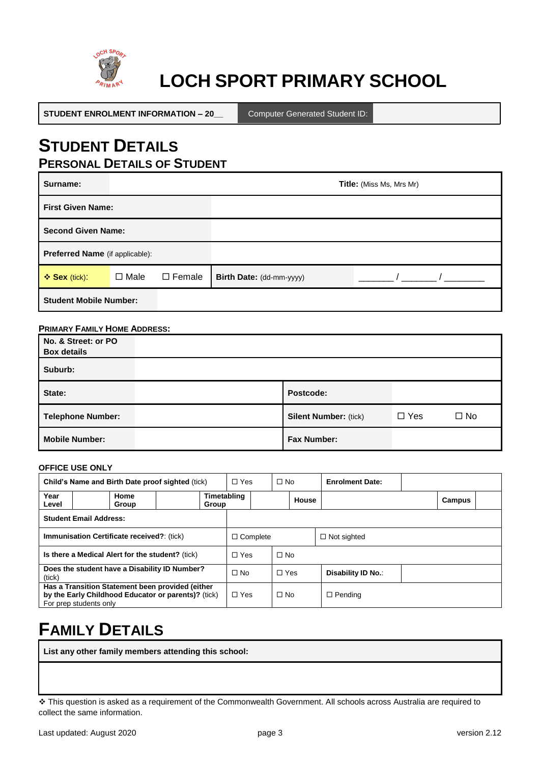

## **LOCH SPORT PRIMARY SCHOOL**

**STUDENT ENROLMENT INFORMATION – 20\_\_** Computer Generated Student ID:

## **STUDENT DETAILS PERSONAL DETAILS OF STUDENT**

| Surname:                        |             |               | <b>Title:</b> (Miss Ms, Mrs Mr) |  |  |
|---------------------------------|-------------|---------------|---------------------------------|--|--|
| <b>First Given Name:</b>        |             |               |                                 |  |  |
| <b>Second Given Name:</b>       |             |               |                                 |  |  |
| Preferred Name (if applicable): |             |               |                                 |  |  |
| ❖ Sex (tick):                   | $\Box$ Male | $\Box$ Female | Birth Date: (dd-mm-yyyy)        |  |  |
| <b>Student Mobile Number:</b>   |             |               |                                 |  |  |

#### **PRIMARY FAMILY HOME ADDRESS:**

| No. & Street: or PO<br><b>Box details</b> |                              |            |              |
|-------------------------------------------|------------------------------|------------|--------------|
| Suburb:                                   |                              |            |              |
| State:                                    | Postcode:                    |            |              |
| Telephone Number:                         | <b>Silent Number: (tick)</b> | $\Box$ Yes | $\square$ No |
| <b>Mobile Number:</b>                     | <b>Fax Number:</b>           |            |              |

#### **OFFICE USE ONLY**

| Child's Name and Birth Date proof sighted (tick)        |                                                                                                                                   | $\Box$ Yes |                      | $\Box$ No  |            | <b>Enrolment Date:</b> |                    |                |  |        |  |
|---------------------------------------------------------|-----------------------------------------------------------------------------------------------------------------------------------|------------|----------------------|------------|------------|------------------------|--------------------|----------------|--|--------|--|
| Year<br>Level                                           | Home<br>Group                                                                                                                     |            | Timetabling<br>Group |            |            |                        | House              |                |  | Campus |  |
| <b>Student Email Address:</b>                           |                                                                                                                                   |            |                      |            |            |                        |                    |                |  |        |  |
| <b>Immunisation Certificate received?</b> : (tick)      |                                                                                                                                   |            | $\Box$ Complete      |            |            |                        | $\Box$ Not sighted |                |  |        |  |
| Is there a Medical Alert for the student? (tick)        |                                                                                                                                   |            | $\Box$ Yes           |            | $\Box$ No  |                        |                    |                |  |        |  |
| Does the student have a Disability ID Number?<br>(tick) |                                                                                                                                   |            | $\Box$ No            |            | $\Box$ Yes |                        | Disability ID No.: |                |  |        |  |
|                                                         | Has a Transition Statement been provided (either<br>by the Early Childhood Educator or parents)? (tick)<br>For prep students only |            |                      | $\Box$ Yes |            | $\Box$ No              |                    | $\Box$ Pending |  |        |  |

## **FAMILY DETAILS**

**List any other family members attending this school:**

This question is asked as a requirement of the Commonwealth Government. All schools across Australia are required to collect the same information.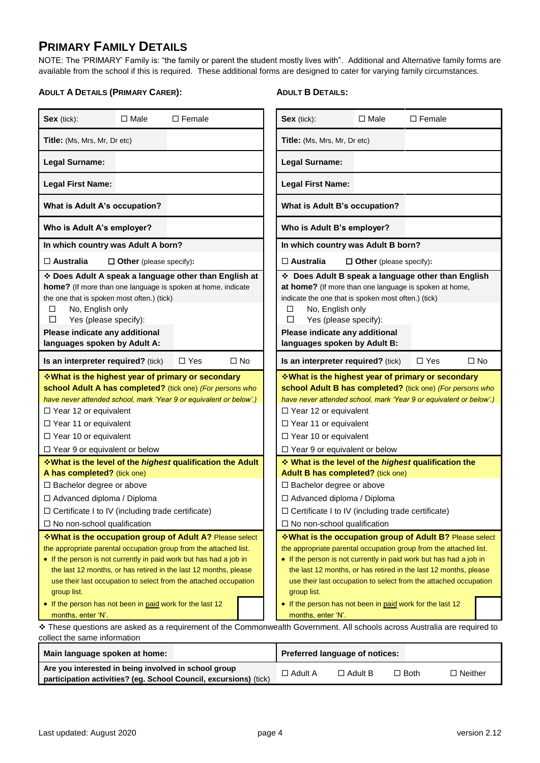## **PRIMARY FAMILY DETAILS**

NOTE: The 'PRIMARY' Family is: "the family or parent the student mostly lives with". Additional and Alternative family forms are available from the school if this is required. These additional forms are designed to cater for varying family circumstances.

#### **ADULT A DETAILS (PRIMARY CARER):**

### **ADULT B DETAILS:**

| Sex (tick):                                                                                                                                                                                                                                                                                                                                                                                                            | $\Box$ Male                    | $\Box$ Female                                                                                                             |  | Sex (tick):                                                                                                                                                                                                                                                                                                                                                                                                            | $\Box$ Male                    | $\square$ Female |           |
|------------------------------------------------------------------------------------------------------------------------------------------------------------------------------------------------------------------------------------------------------------------------------------------------------------------------------------------------------------------------------------------------------------------------|--------------------------------|---------------------------------------------------------------------------------------------------------------------------|--|------------------------------------------------------------------------------------------------------------------------------------------------------------------------------------------------------------------------------------------------------------------------------------------------------------------------------------------------------------------------------------------------------------------------|--------------------------------|------------------|-----------|
| Title: (Ms, Mrs, Mr, Dr etc)                                                                                                                                                                                                                                                                                                                                                                                           |                                |                                                                                                                           |  | Title: (Ms, Mrs, Mr, Dr etc)                                                                                                                                                                                                                                                                                                                                                                                           |                                |                  |           |
| <b>Legal Surname:</b>                                                                                                                                                                                                                                                                                                                                                                                                  |                                |                                                                                                                           |  | <b>Legal Surname:</b>                                                                                                                                                                                                                                                                                                                                                                                                  |                                |                  |           |
| <b>Legal First Name:</b>                                                                                                                                                                                                                                                                                                                                                                                               |                                |                                                                                                                           |  | <b>Legal First Name:</b>                                                                                                                                                                                                                                                                                                                                                                                               |                                |                  |           |
| What is Adult A's occupation?                                                                                                                                                                                                                                                                                                                                                                                          |                                |                                                                                                                           |  | What is Adult B's occupation?                                                                                                                                                                                                                                                                                                                                                                                          |                                |                  |           |
| Who is Adult A's employer?                                                                                                                                                                                                                                                                                                                                                                                             |                                |                                                                                                                           |  | Who is Adult B's employer?                                                                                                                                                                                                                                                                                                                                                                                             |                                |                  |           |
| In which country was Adult A born?                                                                                                                                                                                                                                                                                                                                                                                     |                                |                                                                                                                           |  | In which country was Adult B born?                                                                                                                                                                                                                                                                                                                                                                                     |                                |                  |           |
| $\Box$ Australia                                                                                                                                                                                                                                                                                                                                                                                                       | $\Box$ Other (please specify): |                                                                                                                           |  | $\square$ Australia                                                                                                                                                                                                                                                                                                                                                                                                    | $\Box$ Other (please specify): |                  |           |
| the one that is spoken most often.) (tick)<br>No, English only<br>□<br>Yes (please specify):<br>□<br>Please indicate any additional<br>languages spoken by Adult A:                                                                                                                                                                                                                                                    |                                | * Does Adult A speak a language other than English at<br>home? (If more than one language is spoken at home, indicate     |  | Does Adult B speak a language other than English<br>at home? (If more than one language is spoken at home,<br>indicate the one that is spoken most often.) (tick)<br>No, English only<br>□<br>Yes (please specify):<br>□<br>Please indicate any additional<br>languages spoken by Adult B:                                                                                                                             |                                |                  |           |
| Is an interpreter required? (tick)                                                                                                                                                                                                                                                                                                                                                                                     |                                | $\Box$ Yes<br>$\Box$ No                                                                                                   |  | Is an interpreter required? (tick)                                                                                                                                                                                                                                                                                                                                                                                     |                                | $\Box$ Yes       | $\Box$ No |
| ❖ What is the highest year of primary or secondary<br>school Adult A has completed? (tick one) (For persons who<br>have never attended school, mark 'Year 9 or equivalent or below'.)<br>$\Box$ Year 12 or equivalent<br>□ Year 11 or equivalent<br>$\Box$ Year 10 or equivalent<br>$\Box$ Year 9 or equivalent or below                                                                                               |                                |                                                                                                                           |  | <b>What is the highest year of primary or secondary</b><br>school Adult B has completed? (tick one) (For persons who<br>have never attended school, mark 'Year 9 or equivalent or below'.)<br>$\Box$ Year 12 or equivalent<br>□ Year 11 or equivalent<br>$\Box$ Year 10 or equivalent<br>$\Box$ Year 9 or equivalent or below                                                                                          |                                |                  |           |
|                                                                                                                                                                                                                                                                                                                                                                                                                        |                                | <b>What is the level of the highest qualification the Adult</b>                                                           |  | <b>Vhat is the level of the highest qualification the</b>                                                                                                                                                                                                                                                                                                                                                              |                                |                  |           |
| A has completed? (tick one)                                                                                                                                                                                                                                                                                                                                                                                            |                                |                                                                                                                           |  | Adult B has completed? (tick one)                                                                                                                                                                                                                                                                                                                                                                                      |                                |                  |           |
| □ Bachelor degree or above<br>□ Advanced diploma / Diploma                                                                                                                                                                                                                                                                                                                                                             |                                |                                                                                                                           |  | $\Box$ Bachelor degree or above<br>□ Advanced diploma / Diploma                                                                                                                                                                                                                                                                                                                                                        |                                |                  |           |
| $\Box$ Certificate I to IV (including trade certificate)                                                                                                                                                                                                                                                                                                                                                               |                                |                                                                                                                           |  | $\Box$ Certificate I to IV (including trade certificate)                                                                                                                                                                                                                                                                                                                                                               |                                |                  |           |
| $\Box$ No non-school qualification                                                                                                                                                                                                                                                                                                                                                                                     |                                |                                                                                                                           |  | $\Box$ No non-school qualification                                                                                                                                                                                                                                                                                                                                                                                     |                                |                  |           |
| *What is the occupation group of Adult A? Please select<br>the appropriate parental occupation group from the attached list.<br>• If the person is not currently in paid work but has had a job in<br>the last 12 months, or has retired in the last 12 months, please<br>use their last occupation to select from the attached occupation<br>group list.<br>• If the person has not been in paid work for the last 12 |                                |                                                                                                                           |  | *What is the occupation group of Adult B? Please select<br>the appropriate parental occupation group from the attached list.<br>• If the person is not currently in paid work but has had a job in<br>the last 12 months, or has retired in the last 12 months, please<br>use their last occupation to select from the attached occupation<br>group list.<br>• If the person has not been in paid work for the last 12 |                                |                  |           |
| months, enter 'N'.                                                                                                                                                                                                                                                                                                                                                                                                     |                                |                                                                                                                           |  | months, enter 'N'.                                                                                                                                                                                                                                                                                                                                                                                                     |                                |                  |           |
|                                                                                                                                                                                                                                                                                                                                                                                                                        |                                | * These questions are asked as a requirement of the Commonwealth Government. All schools across Australia are required to |  |                                                                                                                                                                                                                                                                                                                                                                                                                        |                                |                  |           |
| collect the same information                                                                                                                                                                                                                                                                                                                                                                                           |                                |                                                                                                                           |  |                                                                                                                                                                                                                                                                                                                                                                                                                        |                                |                  |           |

| Main language spoken at home:                                     |                | <b>Preferred language of notices:</b> |             |           |
|-------------------------------------------------------------------|----------------|---------------------------------------|-------------|-----------|
| Are you interested in being involved in school group              | $\Box$ Adult A | $\Box$ Adult B                        | $\Box$ Both | コ Neither |
| participation activities? (eg. School Council, excursions) (tick) |                |                                       |             |           |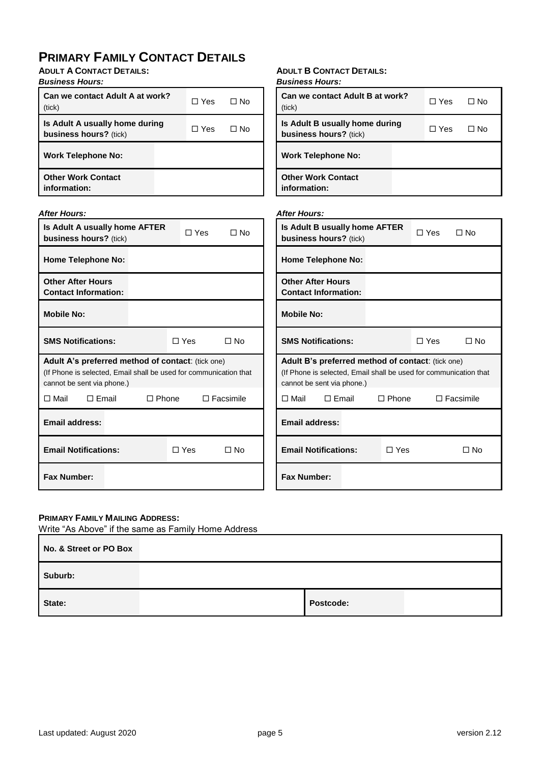## **PRIMARY FAMILY CONTACT DETAILS**

**ADULT A CONTACT DETAILS:**

| <b>Business Hours:</b> |  |
|------------------------|--|
|                        |  |

| Can we contact Adult A at work?<br>(tick)                       | ∩ Yes      | ∩ No |
|-----------------------------------------------------------------|------------|------|
| Is Adult A usually home during<br><b>business hours?</b> (tick) | $\Box$ Yes | ⊟ No |
| <b>Work Telephone No:</b>                                       |            |      |
| <b>Other Work Contact</b><br>information:                       |            |      |

#### *After Hours:*

| Is Adult A usually home AFTER<br><b>business hours?</b> (tick)                                                                                       |  |              | $\Box$ Yes              | $\Box$ No        | <b>Is Adult</b><br>busines               |
|------------------------------------------------------------------------------------------------------------------------------------------------------|--|--------------|-------------------------|------------------|------------------------------------------|
| <b>Home Telephone No:</b>                                                                                                                            |  |              |                         |                  | Home T                                   |
| <b>Other After Hours</b><br><b>Contact Information:</b>                                                                                              |  |              |                         |                  | <b>Other A</b><br><b>Contact</b>         |
| <b>Mobile No:</b>                                                                                                                                    |  |              |                         |                  | <b>Mobile</b> I                          |
| <b>SMS Notifications:</b>                                                                                                                            |  |              | $\Box$ Yes<br>$\Box$ No |                  | <b>SMS No</b>                            |
| Adult A's preferred method of contact: (tick one)<br>(If Phone is selected, Email shall be used for communication that<br>cannot be sent via phone.) |  |              |                         |                  | <b>Adult B</b><br>(If Phone<br>cannot be |
| □ Mail<br>$\Box$ Email                                                                                                                               |  | $\Box$ Phone |                         | $\Box$ Facsimile | $\Box$ Mail                              |
| <b>Email address:</b>                                                                                                                                |  |              |                         |                  | Email a                                  |
| <b>Email Notifications:</b>                                                                                                                          |  |              | $\Box$ Yes              | □ No             | <b>Email N</b>                           |
| <b>Fax Number:</b>                                                                                                                                   |  |              |                         |                  | <b>Fax Nur</b>                           |

## **ADULT B CONTACT DETAILS:**

| Can we contact Adult B at work?<br>(tick)                       | $\Box$ Yes | $\Box$ No |
|-----------------------------------------------------------------|------------|-----------|
| Is Adult B usually home during<br><b>business hours?</b> (tick) | $\Box$ Yes | $\Box$ No |
| <b>Work Telephone No:</b>                                       |            |           |
| <b>Other Work Contact</b><br>information:                       |            |           |

#### *After Hours:*

| Is Adult B usually home AFTER<br><b>business hours?</b> (tick)                                                                                              |              | ∩ Yes | ∩ No             |
|-------------------------------------------------------------------------------------------------------------------------------------------------------------|--------------|-------|------------------|
| <b>Home Telephone No:</b>                                                                                                                                   |              |       |                  |
| <b>Other After Hours</b><br><b>Contact Information:</b>                                                                                                     |              |       |                  |
| <b>Mobile No:</b>                                                                                                                                           |              |       |                  |
| <b>SMS Notifications:</b>                                                                                                                                   |              | □ Yes | $\Box$ No        |
| <b>Adult B's preferred method of contact:</b> (tick one)<br>(If Phone is selected, Email shall be used for communication that<br>cannot be sent via phone.) |              |       |                  |
| ⊟ Mail<br>$\sqcap$ Fmail                                                                                                                                    | $\Box$ Phone |       | $\Box$ Facsimile |
| Email address:                                                                                                                                              |              |       |                  |
| <b>Email Notifications:</b>                                                                                                                                 | $\Box$ Yes   |       | No T             |
| <b>Fax Number:</b>                                                                                                                                          |              |       |                  |

## **PRIMARY FAMILY MAILING ADDRESS:**

Write "As Above" if the same as Family Home Address

| No. & Street or PO Box |           |  |
|------------------------|-----------|--|
| Suburb:                |           |  |
| State:                 | Postcode: |  |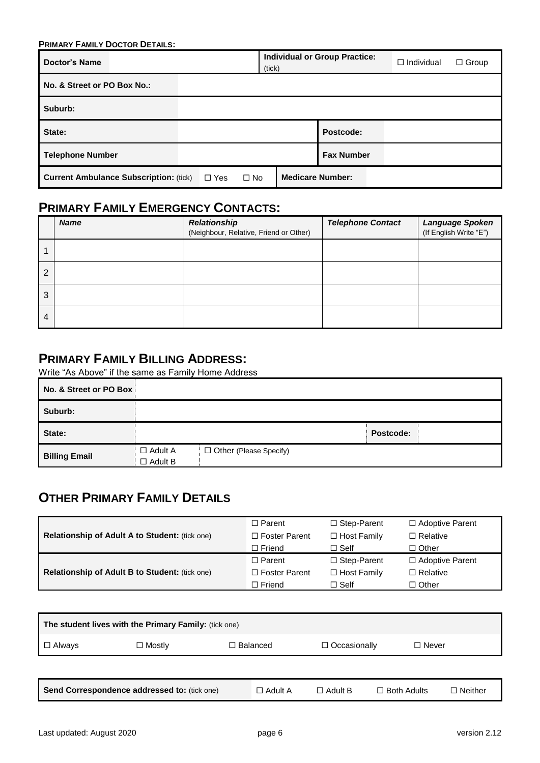| <b>PRIMARY FAMILY DOCTOR DETAILS:</b>         |            |                                         |  |                                      |                   |              |
|-----------------------------------------------|------------|-----------------------------------------|--|--------------------------------------|-------------------|--------------|
| <b>Doctor's Name</b>                          | (tick)     |                                         |  | <b>Individual or Group Practice:</b> | $\Box$ Individual | $\Box$ Group |
| No. & Street or PO Box No.:                   |            |                                         |  |                                      |                   |              |
| Suburb:                                       |            |                                         |  |                                      |                   |              |
| State:                                        |            |                                         |  | Postcode:                            |                   |              |
| <b>Telephone Number</b>                       |            |                                         |  | <b>Fax Number</b>                    |                   |              |
| <b>Current Ambulance Subscription: (tick)</b> | $\Box$ Yes | <b>Medicare Number:</b><br>$\square$ No |  |                                      |                   |              |

## **PRIMARY FAMILY EMERGENCY CONTACTS:**

|                | <b>Name</b> | Relationship<br>(Neighbour, Relative, Friend or Other) | <b>Telephone Contact</b> | Language Spoken<br>(If English Write "E") |
|----------------|-------------|--------------------------------------------------------|--------------------------|-------------------------------------------|
|                |             |                                                        |                          |                                           |
| $\overline{2}$ |             |                                                        |                          |                                           |
| 3              |             |                                                        |                          |                                           |
| 4              |             |                                                        |                          |                                           |

## **PRIMARY FAMILY BILLING ADDRESS:**

Write "As Above" if the same as Family Home Address

| No. & Street or PO Box |                                  |                               |           |
|------------------------|----------------------------------|-------------------------------|-----------|
| Suburb:                |                                  |                               |           |
| State:                 |                                  |                               | Postcode: |
| <b>Billing Email</b>   | $\Box$ Adult A<br>$\Box$ Adult B | $\Box$ Other (Please Specify) |           |

## **OTHER PRIMARY FAMILY DETAILS**

|                                                       | $\Box$ Parent        | $\Box$ Step-Parent | $\Box$ Adoptive Parent |
|-------------------------------------------------------|----------------------|--------------------|------------------------|
| Relationship of Adult A to Student: (tick one)        | $\Box$ Foster Parent | $\Box$ Host Family | $\Box$ Relative        |
|                                                       | $\Box$ Friend        | $\Box$ Self        | $\Box$ Other           |
|                                                       | $\Box$ Parent        | $\Box$ Step-Parent | $\Box$ Adoptive Parent |
| <b>Relationship of Adult B to Student: (tick one)</b> | $\Box$ Foster Parent | $\Box$ Host Family | $\Box$ Relative        |
|                                                       | $\Box$ Friend        | $\Box$ Self        | □ Other                |

| The student lives with the Primary Family: (tick one) |                                              |                 |                     |                                      |  |  |  |  |
|-------------------------------------------------------|----------------------------------------------|-----------------|---------------------|--------------------------------------|--|--|--|--|
| $\Box$ Always                                         | $\Box$ Mostly                                | $\Box$ Balanced | $\Box$ Occasionally | $\Box$ Never                         |  |  |  |  |
|                                                       |                                              |                 |                     |                                      |  |  |  |  |
|                                                       | Send Correspondence addressed to: (tick one) | $\Box$ Adult A  | $\Box$ Adult B      | $\Box$ Both Adults<br>$\Box$ Neither |  |  |  |  |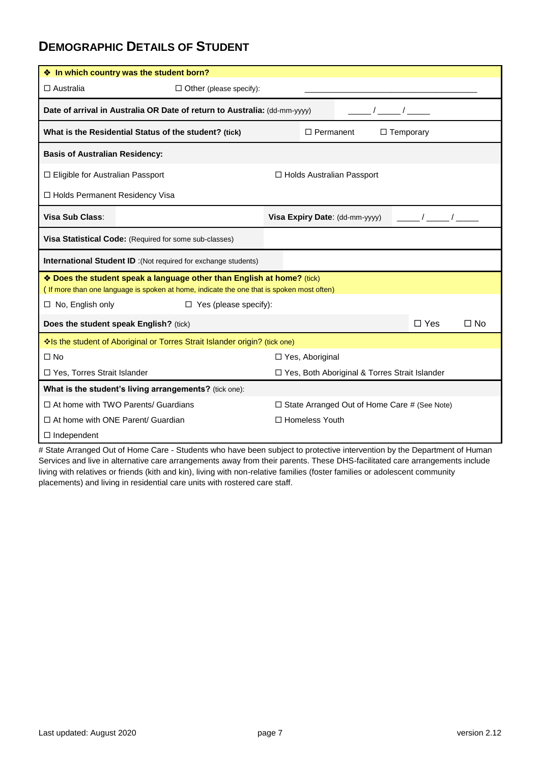## **DEMOGRAPHIC DETAILS OF STUDENT**

| ❖ In which country was the student born?                                                                                                                            |                                                 |  |  |  |  |
|---------------------------------------------------------------------------------------------------------------------------------------------------------------------|-------------------------------------------------|--|--|--|--|
| $\Box$ Australia<br>$\Box$ Other (please specify):                                                                                                                  |                                                 |  |  |  |  |
| Date of arrival in Australia OR Date of return to Australia: (dd-mm-yyyy)                                                                                           |                                                 |  |  |  |  |
| What is the Residential Status of the student? (tick)                                                                                                               | $\Box$ Permanent<br>$\Box$ Temporary            |  |  |  |  |
| <b>Basis of Australian Residency:</b>                                                                                                                               |                                                 |  |  |  |  |
| $\Box$ Eligible for Australian Passport                                                                                                                             | $\Box$ Holds Australian Passport                |  |  |  |  |
| □ Holds Permanent Residency Visa                                                                                                                                    |                                                 |  |  |  |  |
| Visa Sub Class:                                                                                                                                                     | Visa Expiry Date: (dd-mm-yyyy)                  |  |  |  |  |
| Visa Statistical Code: (Required for some sub-classes)                                                                                                              |                                                 |  |  |  |  |
| <b>International Student ID</b> : (Not required for exchange students)                                                                                              |                                                 |  |  |  |  |
| * Does the student speak a language other than English at home? (tick)<br>(If more than one language is spoken at home, indicate the one that is spoken most often) |                                                 |  |  |  |  |
| $\Box$ No, English only<br>$\Box$ Yes (please specify):                                                                                                             |                                                 |  |  |  |  |
| Does the student speak English? (tick)                                                                                                                              | $\square$ No<br>$\Box$ Yes                      |  |  |  |  |
| Is the student of Aboriginal or Torres Strait Islander origin? (tick one)                                                                                           |                                                 |  |  |  |  |
| $\Box$ No                                                                                                                                                           | $\Box$ Yes, Aboriginal                          |  |  |  |  |
| □ Yes, Torres Strait Islander                                                                                                                                       | □ Yes, Both Aboriginal & Torres Strait Islander |  |  |  |  |
| What is the student's living arrangements? (tick one):                                                                                                              |                                                 |  |  |  |  |
| $\Box$ At home with TWO Parents/ Guardians                                                                                                                          | □ State Arranged Out of Home Care # (See Note)  |  |  |  |  |
| $\Box$ At home with ONE Parent/ Guardian                                                                                                                            | □ Homeless Youth                                |  |  |  |  |
| $\Box$ Independent                                                                                                                                                  |                                                 |  |  |  |  |

# State Arranged Out of Home Care - Students who have been subject to protective intervention by the Department of Human Services and live in alternative care arrangements away from their parents. These DHS-facilitated care arrangements include living with relatives or friends (kith and kin), living with non-relative families (foster families or adolescent community placements) and living in residential care units with rostered care staff.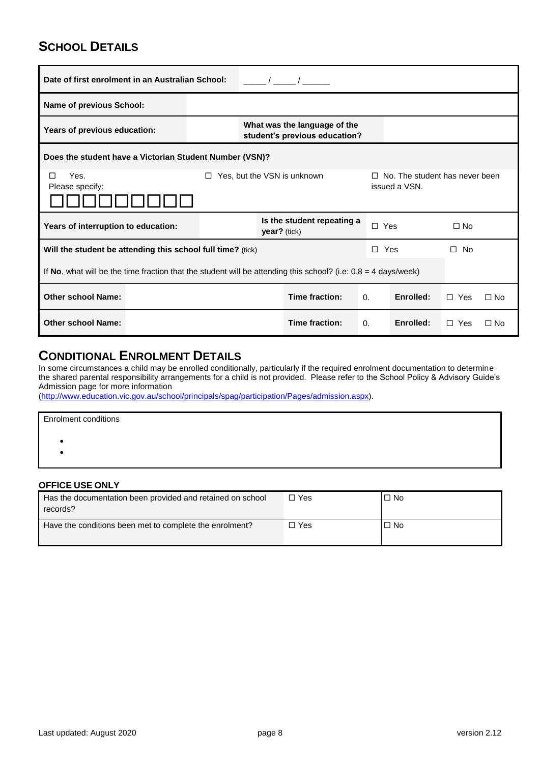## **SCHOOL DETAILS**

| Date of first enrolment in an Australian School:                                                                           |  |                                                               |              |                            |            |           |               |           |
|----------------------------------------------------------------------------------------------------------------------------|--|---------------------------------------------------------------|--------------|----------------------------|------------|-----------|---------------|-----------|
| <b>Name of previous School:</b>                                                                                            |  |                                                               |              |                            |            |           |               |           |
| Years of previous education:                                                                                               |  | What was the language of the<br>student's previous education? |              |                            |            |           |               |           |
| Does the student have a Victorian Student Number (VSN)?                                                                    |  |                                                               |              |                            |            |           |               |           |
| Yes, but the VSN is unknown<br>Yes.<br>No. The student has never been<br>П<br>П.<br>n.<br>issued a VSN.<br>Please specify: |  |                                                               |              |                            |            |           |               |           |
| Years of interruption to education:                                                                                        |  |                                                               | year? (tick) | Is the student repeating a | $\Box$ Yes |           | $\Box$ No     |           |
| Will the student be attending this school full time? (tick)                                                                |  |                                                               |              |                            | П.         | Yes       | $\square$ No  |           |
| If No, what will be the time fraction that the student will be attending this school? (i.e: $0.8 = 4$ days/week)           |  |                                                               |              |                            |            |           |               |           |
| <b>Other school Name:</b>                                                                                                  |  |                                                               |              | Time fraction:             | $\Omega$ . | Enrolled: | $\Box$ Yes    | $\Box$ No |
| <b>Other school Name:</b>                                                                                                  |  |                                                               |              | Time fraction:             | 0.         | Enrolled: | $\Box$<br>Yes | $\Box$ No |

## **CONDITIONAL ENROLMENT DETAILS**

In some circumstances a child may be enrolled conditionally, particularly if the required enrolment documentation to determine the shared parental responsibility arrangements for a child is not provided. Please refer to the School Policy & Advisory Guide's Admission page for more information

[\(http://www.education.vic.gov.au/school/principals/spag/participation/Pages/admission.aspx\)](http://www.education.vic.gov.au/school/principals/spag/participation/Pages/admission.aspx).

| <b>Enrolment conditions</b> |  |  |
|-----------------------------|--|--|
|                             |  |  |
|                             |  |  |
|                             |  |  |

## **OFFICE USE ONLY**

| Has the documentation been provided and retained on school<br>records? | $\Box$ Yes | $\Box$ No |
|------------------------------------------------------------------------|------------|-----------|
| Have the conditions been met to complete the enrolment?                | □ Yes      | $\Box$ No |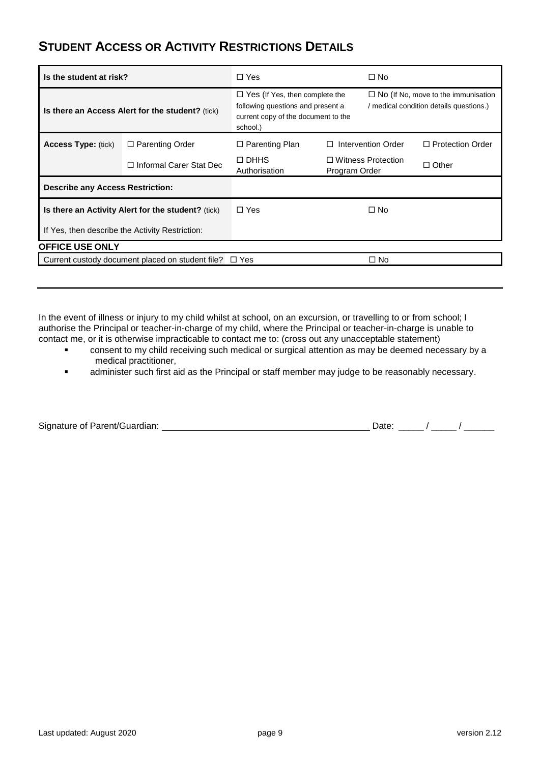## **STUDENT ACCESS OR ACTIVITY RESTRICTIONS DETAILS**

| Is the student at risk?                            |                                                  | $\Box$ Yes                                                                                                                    |               | $\Box$ No                                                                             |                         |
|----------------------------------------------------|--------------------------------------------------|-------------------------------------------------------------------------------------------------------------------------------|---------------|---------------------------------------------------------------------------------------|-------------------------|
| Is there an Access Alert for the student? (tick)   |                                                  | $\Box$ Yes (If Yes, then complete the<br>following questions and present a<br>current copy of the document to the<br>school.) |               | $\Box$ No (If No, move to the immunisation<br>/ medical condition details questions.) |                         |
| <b>Access Type: (tick)</b>                         | $\Box$ Parenting Order                           | $\Box$ Parenting Plan                                                                                                         | п             | Intervention Order                                                                    | $\Box$ Protection Order |
|                                                    | $\Box$ Informal Carer Stat Dec                   | $\Box$ DHHS<br>Authorisation                                                                                                  | Program Order | $\Box$ Witness Protection                                                             | $\Box$ Other            |
| <b>Describe any Access Restriction:</b>            |                                                  |                                                                                                                               |               |                                                                                       |                         |
| Is there an Activity Alert for the student? (tick) |                                                  | $\Box$ Yes                                                                                                                    |               | $\Box$ No                                                                             |                         |
|                                                    | If Yes, then describe the Activity Restriction:  |                                                                                                                               |               |                                                                                       |                         |
| <b>OFFICE USE ONLY</b>                             |                                                  |                                                                                                                               |               |                                                                                       |                         |
|                                                    | Current custody document placed on student file? | □ Yes                                                                                                                         |               | $\Box$ No                                                                             |                         |

In the event of illness or injury to my child whilst at school, on an excursion, or travelling to or from school; I authorise the Principal or teacher-in-charge of my child, where the Principal or teacher-in-charge is unable to contact me, or it is otherwise impracticable to contact me to: (cross out any unacceptable statement)

- consent to my child receiving such medical or surgical attention as may be deemed necessary by a medical practitioner,
- **Example 3** administer such first aid as the Principal or staff member may judge to be reasonably necessary.

| Signature of Parent/Guardian: |  |
|-------------------------------|--|
|-------------------------------|--|

Signature of Parent/Guardian:  $\frac{1}{2}$  Date: \_\_\_\_\_ / \_\_\_\_\_ / \_\_\_\_\_\_\_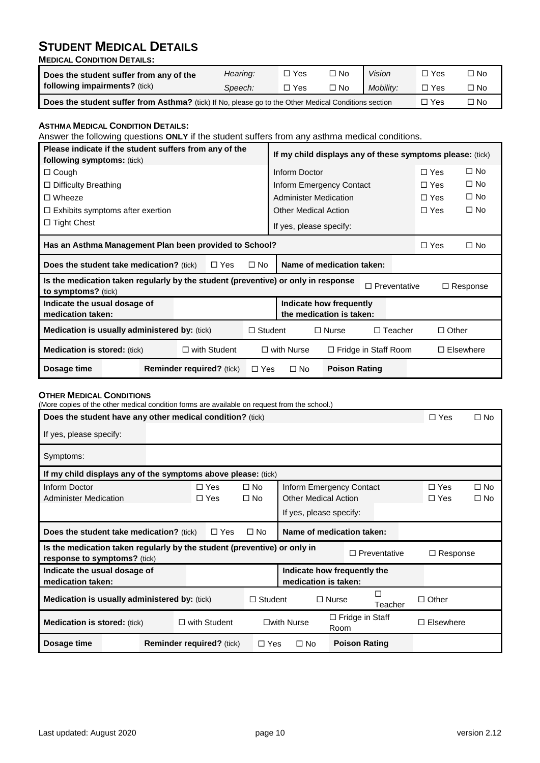## **STUDENT MEDICAL DETAILS**

**MEDICAL CONDITION DETAILS:**

| Does the student suffer from any of the                                                                                  | Hearing: | □ Yes | $\square$ No | Vision    | コ Yes | No ⊡ |
|--------------------------------------------------------------------------------------------------------------------------|----------|-------|--------------|-----------|-------|------|
| following impairments? (tick)                                                                                            | Speech:  | □ Yes | $\square$ No | Mobility: | □ Yes | ロNo  |
| Does the student suffer from Asthma? (tick) If No, please go to the Other Medical Conditions section<br><sup>ー</sup> Yes |          |       |              |           |       | コNo  |

**ASTHMA MEDICAL CONDITION DETAILS:** Answer the following questions **ONLY** if the student suffers from any asthma medical conditions. **Please indicate if the student suffers from any of the following symptoms:** (tick) **If my child displays any of these symptoms please:** (tick) □ Cough Inform Doctor Inform Doctor Inform Doctor Inform Note Inform Note Inform Note Inform Note Inform Note Inform Note Inform Note Inform Inform Inform Inform Inform Information Information Information Information Info □ Difficulty Breathing <br>
Inform Emergency Contact 
□ Yes □ No Wheeze Administer Medication Yes No  $\square$  Exhibits symptoms after exertion  $\square$  Other Medical Action  $\square$  Yes  $\square$  No  $\Box$  Tight Chest  $\Box$  Tight Chest **Has an Asthma Management Plan been provided to School?** Yes No **Does the student take medication?** (tick)  $\Box$  Yes  $\Box$  No **Name of medication taken: Is the medication taken regularly by the student (preventive) or only in response Response<br>to symptoms? (tick) Indicate the usual dosage of medication taken: Indicate how frequently the medication is taken: Medication is usually administered by:** (tick)  $\square$  Student  $\square$  Nurse  $\square$  Teacher  $\square$  Other **Medication is stored:** (tick) with Student with Nurse Fridge in Staff Room Elsewhere **Dosage time Reminder required?** (tick) □ Yes □ No Poison Rating

#### **OTHER MEDICAL CONDITIONS**

(More copies of the other medical condition forms are available on request from the school.)

| Does the student have any other medical condition? (tick)                                                                                                 |                                  |                          |                           |                             |                                | $\Box$ Yes | $\square$ No             |                              |
|-----------------------------------------------------------------------------------------------------------------------------------------------------------|----------------------------------|--------------------------|---------------------------|-----------------------------|--------------------------------|------------|--------------------------|------------------------------|
| If yes, please specify:                                                                                                                                   |                                  |                          |                           |                             |                                |            |                          |                              |
| Symptoms:                                                                                                                                                 |                                  |                          |                           |                             |                                |            |                          |                              |
| If my child displays any of the symptoms above please: (tick)                                                                                             |                                  |                          |                           |                             |                                |            |                          |                              |
| Inform Doctor<br><b>Administer Medication</b>                                                                                                             |                                  | $\Box$ Yes<br>$\Box$ Yes | $\Box$ No<br>$\square$ No | <b>Other Medical Action</b> | Inform Emergency Contact       |            | $\Box$ Yes<br>$\Box$ Yes | $\square$ No<br>$\square$ No |
|                                                                                                                                                           |                                  |                          |                           | If yes, please specify:     |                                |            |                          |                              |
| Name of medication taken:<br><b>Does the student take medication?</b> (tick)<br>$\Box$ Yes<br>$\square$ No                                                |                                  |                          |                           |                             |                                |            |                          |                              |
| Is the medication taken regularly by the student (preventive) or only in<br>$\Box$ Preventative<br>$\Box$ Response<br><b>response to symptoms?</b> (tick) |                                  |                          |                           |                             |                                |            |                          |                              |
| Indicate the usual dosage of<br>Indicate how frequently the<br>medication is taken:<br>medication taken:                                                  |                                  |                          |                           |                             |                                |            |                          |                              |
| П<br><b>Medication is usually administered by: (tick)</b><br>$\Box$ Other<br>$\Box$ Student<br>$\Box$ Nurse<br>Teacher                                    |                                  |                          |                           |                             |                                |            |                          |                              |
| $\Box$ with Student<br><b>Medication is stored: (tick)</b>                                                                                                |                                  |                          |                           | $\square$ with Nurse        | $\Box$ Fridge in Staff<br>Room |            | $\Box$ Elsewhere         |                              |
| Dosage time                                                                                                                                               | <b>Reminder required?</b> (tick) |                          | $\Box$ Yes                | $\square$ No                | <b>Poison Rating</b>           |            |                          |                              |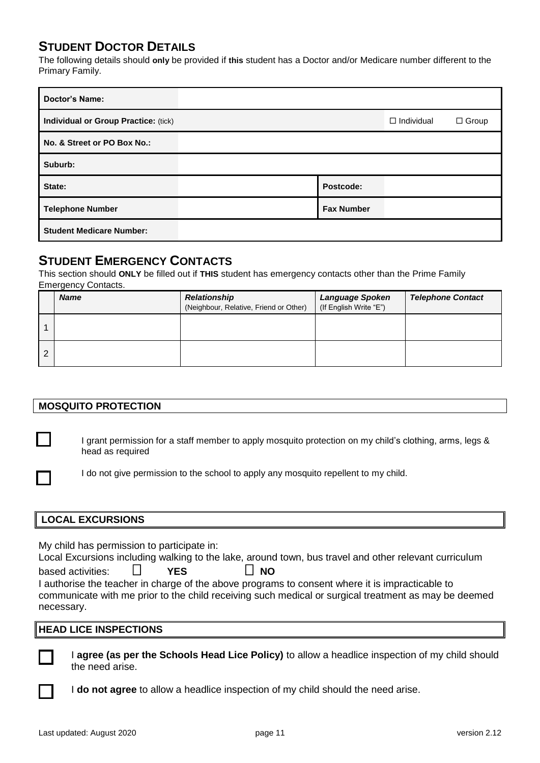## **STUDENT DOCTOR DETAILS**

The following details should **only** be provided if **this** student has a Doctor and/or Medicare number different to the Primary Family.

| <b>Doctor's Name:</b>                |                   |                   |              |
|--------------------------------------|-------------------|-------------------|--------------|
| Individual or Group Practice: (tick) |                   | $\Box$ Individual | $\Box$ Group |
| No. & Street or PO Box No.:          |                   |                   |              |
| Suburb:                              |                   |                   |              |
| State:                               | Postcode:         |                   |              |
| <b>Telephone Number</b>              | <b>Fax Number</b> |                   |              |
| <b>Student Medicare Number:</b>      |                   |                   |              |

## **STUDENT EMERGENCY CONTACTS**

This section should **ONLY** be filled out if **THIS** student has emergency contacts other than the Prime Family Emergency Contacts.

|   | <b>Name</b> | <b>Relationship</b><br>(Neighbour, Relative, Friend or Other) | <b>Language Spoken</b><br>(If English Write "E") | <b>Telephone Contact</b> |
|---|-------------|---------------------------------------------------------------|--------------------------------------------------|--------------------------|
|   |             |                                                               |                                                  |                          |
| 2 |             |                                                               |                                                  |                          |

## **MOSQUITO PROTECTION**

I grant permission for a staff member to apply mosquito protection on my child's clothing, arms, legs & head as required

I do not give permission to the school to apply any mosquito repellent to my child.

## **LOCAL EXCURSIONS**

My child has permission to participate in:

|                   |  |            | Local Excursions including walking to the lake, around town, bus travel and other relevant curriculum |  |  |
|-------------------|--|------------|-------------------------------------------------------------------------------------------------------|--|--|
| based activities: |  | <b>YFS</b> | $\Box$ NO                                                                                             |  |  |
|                   |  |            | I authorise the teacher in charge of the above programs to consent where it is impracticable to       |  |  |
|                   |  |            | communicate with me prior to the child receiving such medical or surgical treatment as may be deemed  |  |  |

## **HEAD LICE INSPECTIONS**



necessary.

I **agree (as per the Schools Head Lice Policy)** to allow a headlice inspection of my child should the need arise.

I **do not agree** to allow a headlice inspection of my child should the need arise.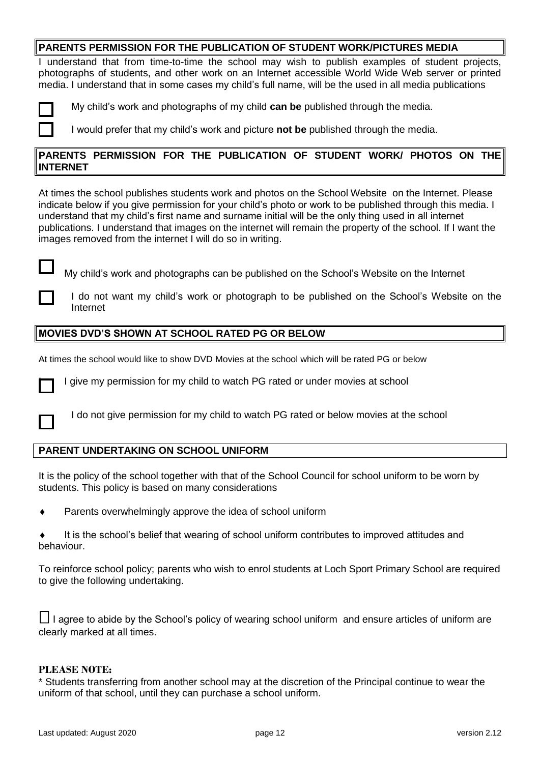## **PARENTS PERMISSION FOR THE PUBLICATION OF STUDENT WORK/PICTURES MEDIA**

I understand that from time-to-time the school may wish to publish examples of student projects, photographs of students, and other work on an Internet accessible World Wide Web server or printed media. I understand that in some cases my child's full name, will be the used in all media publications



My child's work and photographs of my child **can be** published through the media.

I would prefer that my child's work and picture **not be** published through the media.

## **PARENTS PERMISSION FOR THE PUBLICATION OF STUDENT WORK/ PHOTOS ON THE INTERNET**

At times the school publishes students work and photos on the School Website on the Internet. Please indicate below if you give permission for your child's photo or work to be published through this media. I understand that my child's first name and surname initial will be the only thing used in all internet publications. I understand that images on the internet will remain the property of the school. If I want the images removed from the internet I will do so in writing.

My child's work and photographs can be published on the School's Website on the Internet

I do not want my child's work or photograph to be published on the School's Website on the Internet

### **MOVIES DVD'S SHOWN AT SCHOOL RATED PG OR BELOW**

At times the school would like to show DVD Movies at the school which will be rated PG or below



I give my permission for my child to watch PG rated or under movies at school

I do not give permission for my child to watch PG rated or below movies at the school

## **PARENT UNDERTAKING ON SCHOOL UNIFORM**

It is the policy of the school together with that of the School Council for school uniform to be worn by students. This policy is based on many considerations

- Parents overwhelmingly approve the idea of school uniform
- It is the school's belief that wearing of school uniform contributes to improved attitudes and behaviour.

To reinforce school policy; parents who wish to enrol students at Loch Sport Primary School are required to give the following undertaking.

 $\Box$  I agree to abide by the School's policy of wearing school uniform and ensure articles of uniform are clearly marked at all times.

## **PLEASE NOTE:**

\* Students transferring from another school may at the discretion of the Principal continue to wear the uniform of that school, until they can purchase a school uniform.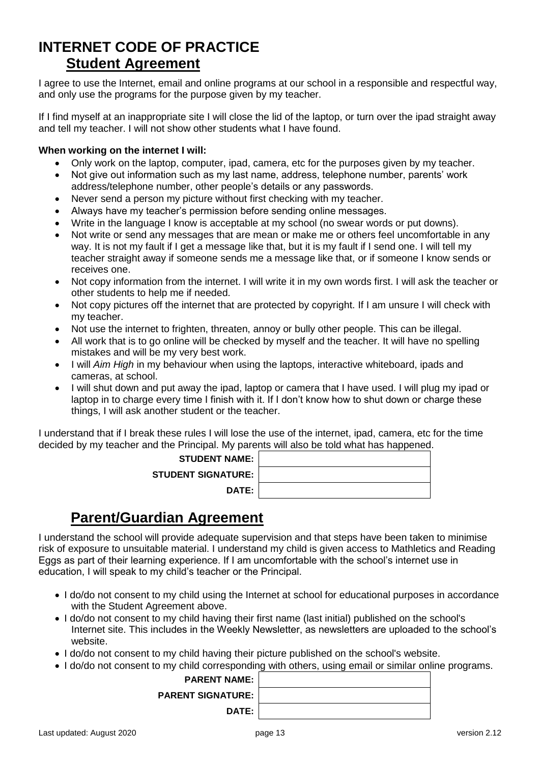## **INTERNET CODE OF PRACTICE Student Agreement**

I agree to use the Internet, email and online programs at our school in a responsible and respectful way, and only use the programs for the purpose given by my teacher.

If I find myself at an inappropriate site I will close the lid of the laptop, or turn over the ipad straight away and tell my teacher. I will not show other students what I have found.

## **When working on the internet I will:**

- Only work on the laptop, computer, ipad, camera, etc for the purposes given by my teacher.
- Not give out information such as my last name, address, telephone number, parents' work address/telephone number, other people's details or any passwords.
- Never send a person my picture without first checking with my teacher.
- Always have my teacher's permission before sending online messages.
- Write in the language I know is acceptable at my school (no swear words or put downs).
- Not write or send any messages that are mean or make me or others feel uncomfortable in any way. It is not my fault if I get a message like that, but it is my fault if I send one. I will tell my teacher straight away if someone sends me a message like that, or if someone I know sends or receives one.
- Not copy information from the internet. I will write it in my own words first. I will ask the teacher or other students to help me if needed.
- Not copy pictures off the internet that are protected by copyright. If I am unsure I will check with my teacher.
- Not use the internet to frighten, threaten, annoy or bully other people. This can be illegal.
- All work that is to go online will be checked by myself and the teacher. It will have no spelling mistakes and will be my very best work.
- I will *Aim High* in my behaviour when using the laptops, interactive whiteboard, ipads and cameras, at school.
- I will shut down and put away the ipad, laptop or camera that I have used. I will plug my ipad or laptop in to charge every time I finish with it. If I don't know how to shut down or charge these things, I will ask another student or the teacher.

I understand that if I break these rules I will lose the use of the internet, ipad, camera, etc for the time decided by my teacher and the Principal. My parents will also be told what has happened.

> **STUDENT NAME: STUDENT SIGNAT DATE:**

| IAME:       |  |
|-------------|--|
| <b>URE:</b> |  |
| <b>ATE:</b> |  |
|             |  |

## **Parent/Guardian Agreement**

I understand the school will provide adequate supervision and that steps have been taken to minimise risk of exposure to unsuitable material. I understand my child is given access to Mathletics and Reading Eggs as part of their learning experience. If I am uncomfortable with the school's internet use in education, I will speak to my child's teacher or the Principal.

- I do/do not consent to my child using the Internet at school for educational purposes in accordance with the Student Agreement above.
- I do/do not consent to my child having their first name (last initial) published on the school's Internet site. This includes in the Weekly Newsletter, as newsletters are uploaded to the school's website.
- I do/do not consent to my child having their picture published on the school's website.

I do/do not consent to my child corresponding with others, using email or similar online programs.

| <b>PARENT NAME:</b>          |
|------------------------------|
| $\sf{PARENT}$ SIGNATURE: $ $ |
| DATE:                        |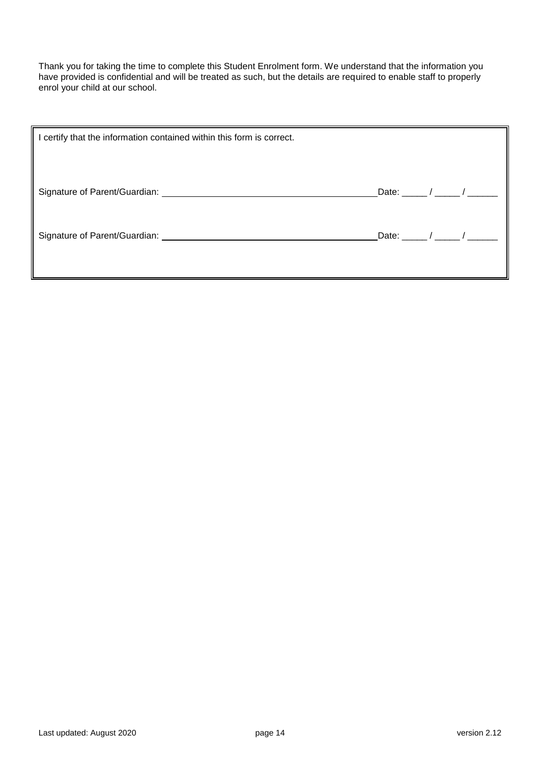Thank you for taking the time to complete this Student Enrolment form. We understand that the information you have provided is confidential and will be treated as such, but the details are required to enable staff to properly enrol your child at our school.

| certify that the information contained within this form is correct. |                                                     |  |
|---------------------------------------------------------------------|-----------------------------------------------------|--|
|                                                                     | Date: $\frac{1}{\sqrt{2\pi}}$                       |  |
|                                                                     | Date: $\frac{1}{2}$ / $\frac{1}{2}$ / $\frac{1}{2}$ |  |
|                                                                     |                                                     |  |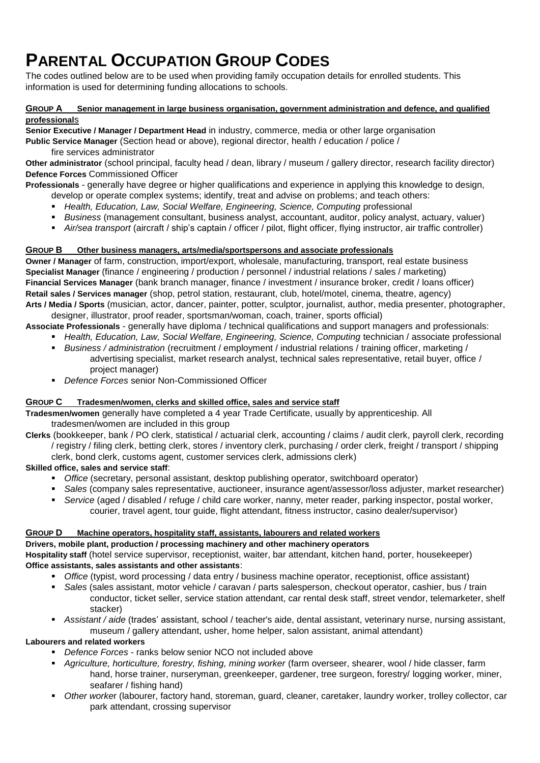## **PARENTAL OCCUPATION GROUP CODES**

The codes outlined below are to be used when providing family occupation details for enrolled students. This information is used for determining funding allocations to schools.

#### **GROUP A Senior management in large business organisation, government administration and defence, and qualified professional**s

**Senior Executive / Manager / Department Head** in industry, commerce, media or other large organisation

**Public Service Manager** (Section head or above), regional director, health / education / police / fire services administrator

**Other administrator** (school principal, faculty head / dean, library / museum / gallery director, research facility director) **Defence Forces** Commissioned Officer

**Professionals** - generally have degree or higher qualifications and experience in applying this knowledge to design,

- develop or operate complex systems; identify, treat and advise on problems; and teach others:
- **Health, Education, Law, Social Welfare, Engineering, Science, Computing professional**
- *Business* (management consultant, business analyst, accountant, auditor, policy analyst, actuary, valuer)
- *Air/sea transport* (aircraft / ship's captain / officer / pilot, flight officer, flying instructor, air traffic controller)

#### **GROUP B Other business managers, arts/media/sportspersons and associate professionals**

**Owner / Manager** of farm, construction, import/export, wholesale, manufacturing, transport, real estate business **Specialist Manager** (finance / engineering / production / personnel / industrial relations / sales / marketing) **Financial Services Manager** (bank branch manager, finance / investment / insurance broker, credit / loans officer) **Retail sales / Services manager** (shop, petrol station, restaurant, club, hotel/motel, cinema, theatre, agency) **Arts / Media / Sports** (musician, actor, dancer, painter, potter, sculptor, journalist, author, media presenter, photographer,

designer, illustrator, proof reader, sportsman/woman, coach, trainer, sports official)

**Associate Professionals** - generally have diploma / technical qualifications and support managers and professionals:

- **Health, Education, Law, Social Welfare, Engineering, Science, Computing technician / associate professional**
- *Business / administration* (recruitment / employment / industrial relations / training officer, marketing / advertising specialist, market research analyst, technical sales representative, retail buyer, office / project manager)
- *Defence Forces* senior Non-Commissioned Officer

#### **GROUP C Tradesmen/women, clerks and skilled office, sales and service staff**

**Tradesmen/women** generally have completed a 4 year Trade Certificate, usually by apprenticeship. All tradesmen/women are included in this group

**Clerks** (bookkeeper, bank / PO clerk, statistical / actuarial clerk, accounting / claims / audit clerk, payroll clerk, recording / registry / filing clerk, betting clerk, stores / inventory clerk, purchasing / order clerk, freight / transport / shipping clerk, bond clerk, customs agent, customer services clerk, admissions clerk)

#### **Skilled office, sales and service staff**:

- *Office* (secretary, personal assistant, desktop publishing operator, switchboard operator)
- *Sales* (company sales representative, auctioneer, insurance agent/assessor/loss adjuster, market researcher)
- *Service* (aged / disabled / refuge / child care worker, nanny, meter reader, parking inspector, postal worker, courier, travel agent, tour guide, flight attendant, fitness instructor, casino dealer/supervisor)

## **GROUP D Machine operators, hospitality staff, assistants, labourers and related workers**

#### **Drivers, mobile plant, production / processing machinery and other machinery operators**

**Hospitality staff** (hotel service supervisor, receptionist, waiter, bar attendant, kitchen hand, porter, housekeeper) **Office assistants, sales assistants and other assistants**:

- *Office* (typist, word processing / data entry / business machine operator, receptionist, office assistant)
- *Sales* (sales assistant, motor vehicle / caravan / parts salesperson, checkout operator, cashier, bus / train conductor, ticket seller, service station attendant, car rental desk staff, street vendor, telemarketer, shelf stacker)
- *Assistant / aide* (trades' assistant, school / teacher's aide, dental assistant, veterinary nurse, nursing assistant, museum / gallery attendant, usher, home helper, salon assistant, animal attendant)

## **Labourers and related workers**

- *Defence Forces* ranks below senior NCO not included above
- *Agriculture, horticulture, forestry, fishing, mining worker* (farm overseer, shearer, wool / hide classer, farm hand, horse trainer, nurseryman, greenkeeper, gardener, tree surgeon, forestry/ logging worker, miner, seafarer / fishing hand)
- *Other worke*r (labourer, factory hand, storeman, guard, cleaner, caretaker, laundry worker, trolley collector, car park attendant, crossing supervisor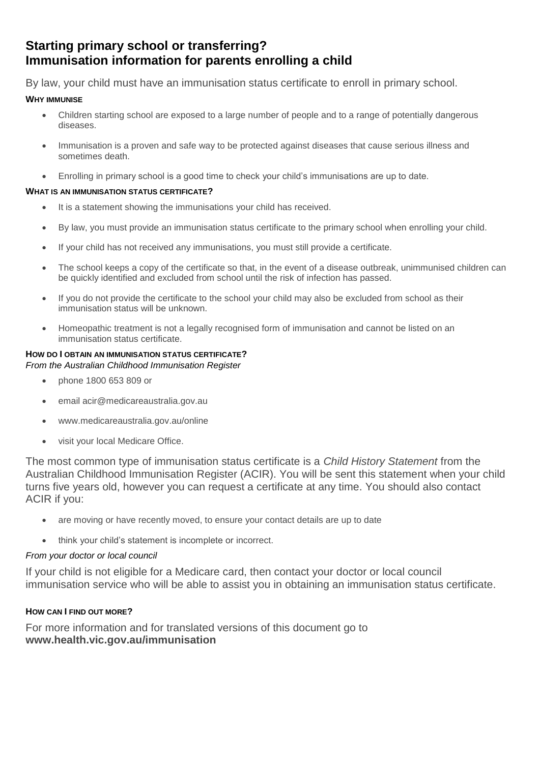## **Starting primary school or transferring? Immunisation information for parents enrolling a child**

By law, your child must have an immunisation status certificate to enroll in primary school.

## **WHY IMMUNISE**

- Children starting school are exposed to a large number of people and to a range of potentially dangerous diseases.
- Immunisation is a proven and safe way to be protected against diseases that cause serious illness and sometimes death.
- Enrolling in primary school is a good time to check your child's immunisations are up to date.

### **WHAT IS AN IMMUNISATION STATUS CERTIFICATE?**

- It is a statement showing the immunisations your child has received.
- By law, you must provide an immunisation status certificate to the primary school when enrolling your child.
- If your child has not received any immunisations, you must still provide a certificate.
- The school keeps a copy of the certificate so that, in the event of a disease outbreak, unimmunised children can be quickly identified and excluded from school until the risk of infection has passed.
- If you do not provide the certificate to the school your child may also be excluded from school as their immunisation status will be unknown.
- Homeopathic treatment is not a legally recognised form of immunisation and cannot be listed on an immunisation status certificate.

## **HOW DO I OBTAIN AN IMMUNISATION STATUS CERTIFICATE?**

*From the Australian Childhood Immunisation Register* 

- phone 1800 653 809 or
- email acir@medicareaustralia.gov.au
- www.medicareaustralia.gov.au/online
- visit your local Medicare Office.

The most common type of immunisation status certificate is a *Child History Statement* from the Australian Childhood Immunisation Register (ACIR). You will be sent this statement when your child turns five years old, however you can request a certificate at any time. You should also contact ACIR if you:

- are moving or have recently moved, to ensure your contact details are up to date
- think your child's statement is incomplete or incorrect.

## *From your doctor or local council*

If your child is not eligible for a Medicare card, then contact your doctor or local council immunisation service who will be able to assist you in obtaining an immunisation status certificate.

## **HOW CAN I FIND OUT MORE?**

For more information and for translated versions of this document go to **www.health.vic.gov.au/immunisation**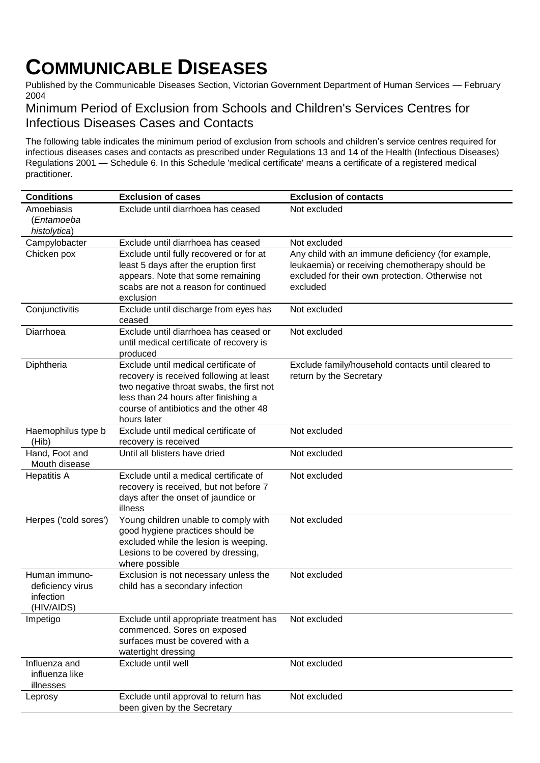## **COMMUNICABLE DISEASES**

Published by the Communicable Diseases Section, Victorian Government Department of Human Services — February 2004

## Minimum Period of Exclusion from Schools and Children's Services Centres for Infectious Diseases Cases and Contacts

The following table indicates the minimum period of exclusion from schools and children's service centres required for infectious diseases cases and contacts as prescribed under Regulations 13 and 14 of the Health (Infectious Diseases) Regulations 2001 — Schedule 6. In this Schedule 'medical certificate' means a certificate of a registered medical practitioner.

| <b>Conditions</b>                                            | <b>Exclusion of cases</b>                                                                                                                                                                                                    | <b>Exclusion of contacts</b>                                                                                                                                        |
|--------------------------------------------------------------|------------------------------------------------------------------------------------------------------------------------------------------------------------------------------------------------------------------------------|---------------------------------------------------------------------------------------------------------------------------------------------------------------------|
| Amoebiasis<br>(Entamoeba<br>histolytica)                     | Exclude until diarrhoea has ceased                                                                                                                                                                                           | Not excluded                                                                                                                                                        |
| Campylobacter                                                | Exclude until diarrhoea has ceased                                                                                                                                                                                           | Not excluded                                                                                                                                                        |
| Chicken pox                                                  | Exclude until fully recovered or for at<br>least 5 days after the eruption first<br>appears. Note that some remaining<br>scabs are not a reason for continued<br>exclusion                                                   | Any child with an immune deficiency (for example,<br>leukaemia) or receiving chemotherapy should be<br>excluded for their own protection. Otherwise not<br>excluded |
| Conjunctivitis                                               | Exclude until discharge from eyes has<br>ceased                                                                                                                                                                              | Not excluded                                                                                                                                                        |
| Diarrhoea                                                    | Exclude until diarrhoea has ceased or<br>until medical certificate of recovery is<br>produced                                                                                                                                | Not excluded                                                                                                                                                        |
| Diphtheria                                                   | Exclude until medical certificate of<br>recovery is received following at least<br>two negative throat swabs, the first not<br>less than 24 hours after finishing a<br>course of antibiotics and the other 48<br>hours later | Exclude family/household contacts until cleared to<br>return by the Secretary                                                                                       |
| Haemophilus type b<br>(Hib)                                  | Exclude until medical certificate of<br>recovery is received                                                                                                                                                                 | Not excluded                                                                                                                                                        |
| Hand, Foot and<br>Mouth disease                              | Until all blisters have dried                                                                                                                                                                                                | Not excluded                                                                                                                                                        |
| <b>Hepatitis A</b>                                           | Exclude until a medical certificate of<br>recovery is received, but not before 7<br>days after the onset of jaundice or<br>illness                                                                                           | Not excluded                                                                                                                                                        |
| Herpes ('cold sores')                                        | Young children unable to comply with<br>good hygiene practices should be<br>excluded while the lesion is weeping.<br>Lesions to be covered by dressing,<br>where possible                                                    | Not excluded                                                                                                                                                        |
| Human immuno-<br>deficiency virus<br>infection<br>(HIV/AIDS) | Exclusion is not necessary unless the<br>child has a secondary infection                                                                                                                                                     | Not excluded                                                                                                                                                        |
| Impetigo                                                     | Exclude until appropriate treatment has<br>commenced. Sores on exposed<br>surfaces must be covered with a<br>watertight dressing                                                                                             | Not excluded                                                                                                                                                        |
| Influenza and<br>influenza like<br>illnesses                 | Exclude until well                                                                                                                                                                                                           | Not excluded                                                                                                                                                        |
| Leprosy                                                      | Exclude until approval to return has<br>been given by the Secretary                                                                                                                                                          | Not excluded                                                                                                                                                        |